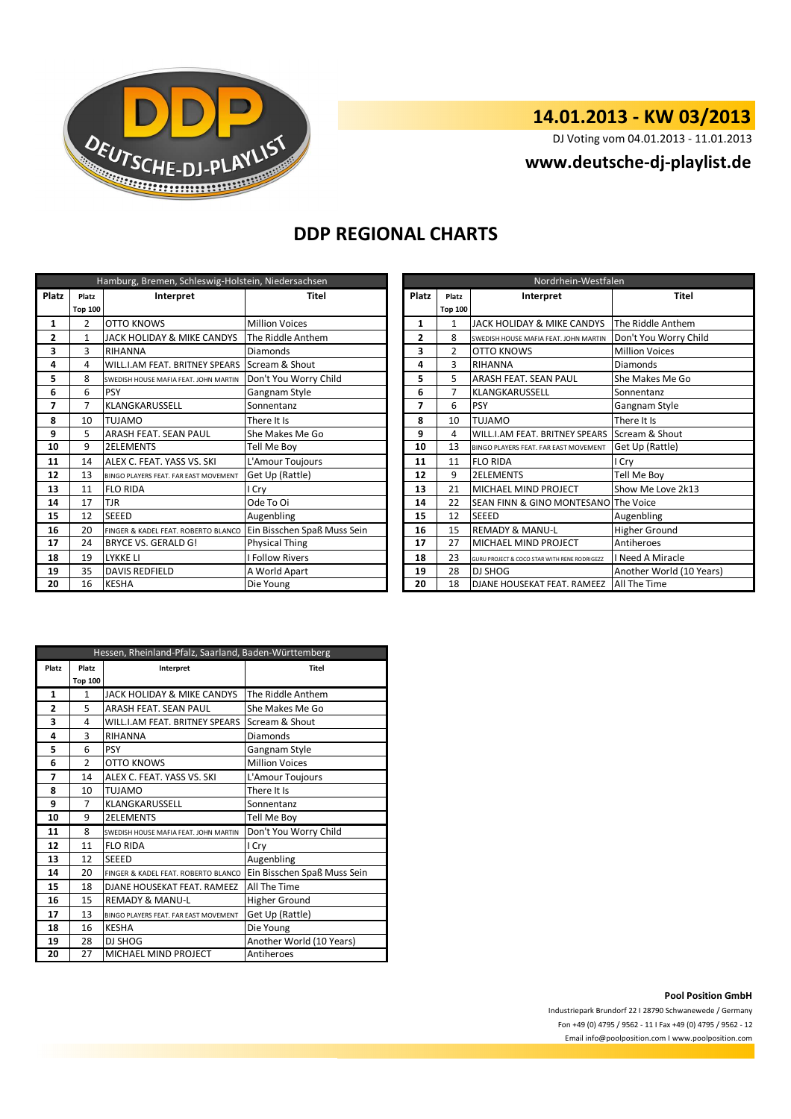

# **14.01.2013 - KW 03/2013**

DJ Voting vom 04.01.2013 - 11.01.2013

### **www.deutsche-dj-playlist.de**

## **DDP REGIONAL CHARTS**

| Hamburg, Bremen, Schleswig-Holstein, Niedersachsen |                |                                              |                             |              | Nordrhein-Westfalen |                                                  |                          |  |
|----------------------------------------------------|----------------|----------------------------------------------|-----------------------------|--------------|---------------------|--------------------------------------------------|--------------------------|--|
| Platz                                              | Platz          | Interpret                                    | <b>Titel</b>                | <b>Platz</b> | Platz               | Interpret                                        | <b>Titel</b>             |  |
|                                                    | <b>Top 100</b> |                                              |                             |              | <b>Top 100</b>      |                                                  |                          |  |
| 1                                                  | $\overline{2}$ | OTTO KNOWS                                   | <b>Million Voices</b>       | 1            | -1                  | JACK HOLIDAY & MIKE CANDYS                       | The Riddle Anthem        |  |
| 2                                                  | $\mathbf{1}$   | JACK HOLIDAY & MIKE CANDYS                   | The Riddle Anthem           | 2            | 8                   | SWEDISH HOUSE MAFIA FEAT. JOHN MARTIN            | Don't You Worry Child    |  |
| з                                                  | 3              | <b>RIHANNA</b>                               | <b>Diamonds</b>             | 3            | $\overline{2}$      | <b>OTTO KNOWS</b>                                | <b>Million Voices</b>    |  |
| 4                                                  | 4              | <b>WILL.I.AM FEAT. BRITNEY SPEARS</b>        | Scream & Shout              | 4            | 3                   | <b>RIHANNA</b>                                   | Diamonds                 |  |
| 5                                                  | 8              | SWEDISH HOUSE MAFIA FEAT. JOHN MARTIN        | Don't You Worry Child       | 5            | 5                   | <b>ARASH FEAT, SEAN PAUL</b>                     | She Makes Me Go          |  |
| 6                                                  | 6              | <b>PSY</b>                                   | Gangnam Style               | 6            | 7                   | KLANGKARUSSELL                                   | Sonnentanz               |  |
| 7                                                  | 7              | <b>KLANGKARUSSELL</b><br>Sonnentanz<br>7     |                             | 6            | PSY                 | Gangnam Style                                    |                          |  |
| 8                                                  | 10             | <b>TUJAMO</b>                                | There It Is                 | 8            | 10                  | <b>TUJAMO</b>                                    | There It Is              |  |
| 9                                                  | 5              | <b>ARASH FEAT, SEAN PAUL</b>                 | She Makes Me Go             | 9            | 4                   | <b>WILL.I.AM FEAT. BRITNEY SPEARS</b>            | Scream & Shout           |  |
| 10                                                 | 9              | <b>2ELEMENTS</b>                             | Tell Me Boy                 | 10           | 13                  | BINGO PLAYERS FEAT. FAR EAST MOVEMENT            | Get Up (Rattle)          |  |
| 11                                                 | 14             | ALEX C. FEAT. YASS VS. SKI                   | L'Amour Toujours            | 11           | 11                  | <b>FLO RIDA</b>                                  | I Cry                    |  |
| 12                                                 | 13             | <b>BINGO PLAYERS FEAT. FAR EAST MOVEMENT</b> | Get Up (Rattle)             | 12           | 9                   | <b>2ELEMENTS</b>                                 | Tell Me Boy              |  |
| 13                                                 | 11             | <b>FLO RIDA</b>                              | l Cry                       | 13           | 21                  | <b>MICHAEL MIND PROJECT</b>                      | Show Me Love 2k13        |  |
| 14                                                 | 17             | <b>TJR</b>                                   | Ode To Oi                   | 14           | 22                  | <b>ISEAN FINN &amp; GINO MONTESANO The Voice</b> |                          |  |
| 15                                                 | 12             | <b>SEEED</b>                                 | Augenbling                  | 15           | 12                  | <b>SEEED</b>                                     | Augenbling               |  |
| 16                                                 | 20             | FINGER & KADEL FEAT. ROBERTO BLANCO          | Ein Bisschen Spaß Muss Sein | 16           | 15                  | <b>REMADY &amp; MANU-L</b>                       | <b>Higher Ground</b>     |  |
| 17                                                 | 24             | BRYCE VS. GERALD G!                          | <b>Physical Thing</b>       | 17           | 27                  | MICHAEL MIND PROJECT                             | Antiheroes               |  |
| 18                                                 | 19             | <b>LYKKE LI</b>                              | <b>I Follow Rivers</b>      | 18           | 23                  | GURU PROJECT & COCO STAR WITH RENE RODRIGEZZ     | I Need A Miracle         |  |
| 19                                                 | 35             | <b>DAVIS REDFIELD</b>                        | A World Apart               | 19           | 28                  | <b>DJ SHOG</b>                                   | Another World (10 Years) |  |
| 20                                                 | 16             | <b>KESHA</b>                                 | Die Young                   | 20           | 18                  | <b>DJANE HOUSEKAT FEAT. RAMEEZ</b>               | All The Time             |  |

| Nordrhein-Westfalen |                |                                              |                          |  |  |
|---------------------|----------------|----------------------------------------------|--------------------------|--|--|
| <b>Platz</b>        | Platz          | Interpret                                    | <b>Titel</b>             |  |  |
|                     | <b>Top 100</b> |                                              |                          |  |  |
| 1                   | 1              | JACK HOLIDAY & MIKE CANDYS                   | The Riddle Anthem        |  |  |
| $\overline{2}$      | 8              | SWEDISH HOUSE MAFIA FEAT, JOHN MARTIN        | Don't You Worry Child    |  |  |
| 3                   | $\overline{2}$ | <b>OTTO KNOWS</b>                            | <b>Million Voices</b>    |  |  |
| 4                   | 3              | RIHANNA                                      | Diamonds                 |  |  |
| 5                   | 5              | ARASH FEAT. SEAN PAUL                        | She Makes Me Go          |  |  |
| 6                   | $\overline{7}$ | KLANGKARUSSELL                               | Sonnentanz               |  |  |
| 7                   | 6              | <b>PSY</b>                                   | Gangnam Style            |  |  |
| 8                   | 10             | <b>TUJAMO</b>                                | There It Is              |  |  |
| 9                   | 4              | WILL.I.AM FEAT. BRITNEY SPEARS               | Scream & Shout           |  |  |
| 10                  | 13             | BINGO PLAYERS FEAT. FAR EAST MOVEMENT        | Get Up (Rattle)          |  |  |
| 11                  | 11             | <b>FLO RIDA</b>                              | I Cry                    |  |  |
| 12                  | 9              | <b>2ELEMENTS</b>                             | Tell Me Boy              |  |  |
| 13                  | 21             | MICHAEL MIND PROJECT                         | Show Me Love 2k13        |  |  |
| 14                  | 22             | SEAN FINN & GINO MONTESANO The Voice         |                          |  |  |
| 15                  | 12             | <b>SEEED</b>                                 | Augenbling               |  |  |
| 16                  | 15             | <b>REMADY &amp; MANU-L</b>                   | Higher Ground            |  |  |
| 17                  | 27             | MICHAEL MIND PROJECT                         | Antiheroes               |  |  |
| 18                  | 23             | GURU PROJECT & COCO STAR WITH RENE RODRIGEZZ | I Need A Miracle         |  |  |
| 19                  | 28             | DJ SHOG                                      | Another World (10 Years) |  |  |
| 20                  | 18             | DJANE HOUSEKAT FEAT, RAMEEZ                  | All The Time             |  |  |

| Hessen, Rheinland-Pfalz, Saarland, Baden-Württemberg |                |                                       |                             |  |  |
|------------------------------------------------------|----------------|---------------------------------------|-----------------------------|--|--|
| Platz                                                | Platz          | Interpret                             | <b>Titel</b>                |  |  |
|                                                      | <b>Top 100</b> |                                       |                             |  |  |
| 1                                                    | 1              | JACK HOLIDAY & MIKE CANDYS            | The Riddle Anthem           |  |  |
| 2                                                    | 5              | <b>ARASH FEAT, SEAN PAUL</b>          | She Makes Me Go             |  |  |
| 3                                                    | 4              | WILL.I.AM FEAT. BRITNEY SPEARS        | Scream & Shout              |  |  |
| 4                                                    | 3              | RIHANNA                               | Diamonds                    |  |  |
| 5                                                    | 6              | <b>PSY</b>                            | Gangnam Style               |  |  |
| 6                                                    | $\mathfrak{p}$ | <b>OTTO KNOWS</b>                     | <b>Million Voices</b>       |  |  |
| 7                                                    | 14             | ALEX C. FEAT. YASS VS. SKI            | L'Amour Toujours            |  |  |
| 8                                                    | 10             | <b>TUJAMO</b>                         | There It Is                 |  |  |
| 9                                                    | 7              | KLANGKARUSSELL                        | Sonnentanz                  |  |  |
| 10                                                   | 9              | <b>2ELEMENTS</b>                      | Tell Me Boy                 |  |  |
| 11                                                   | 8              | SWEDISH HOUSE MAFIA FEAT. JOHN MARTIN | Don't You Worry Child       |  |  |
| 12                                                   | 11             | <b>FLO RIDA</b>                       | I Cry                       |  |  |
| 13                                                   | 12             | <b>SEEED</b>                          | Augenbling                  |  |  |
| 14                                                   | 20             | FINGER & KADEL FEAT. ROBERTO BLANCO   | Ein Bisschen Spaß Muss Sein |  |  |
| 15                                                   | 18             | DJANE HOUSEKAT FEAT. RAMEEZ           | All The Time                |  |  |
| 16                                                   | 15             | <b>REMADY &amp; MANU-L</b>            | Higher Ground               |  |  |
| 17                                                   | 13             | BINGO PLAYERS FEAT. FAR EAST MOVEMENT | Get Up (Rattle)             |  |  |
| 18                                                   | 16             | <b>KESHA</b>                          | Die Young                   |  |  |
| 19                                                   | 28             | DJ SHOG                               | Another World (10 Years)    |  |  |
| 20                                                   | 27             | MICHAEL MIND PROJECT                  | Antiheroes                  |  |  |

#### **Pool Position GmbH**

Industriepark Brundorf 22 I 28790 Schwanewede / Germany Fon +49 (0) 4795 / 9562 - 11 I Fax +49 (0) 4795 / 9562 - 12 Email info@poolposition.com I www.poolposition.com